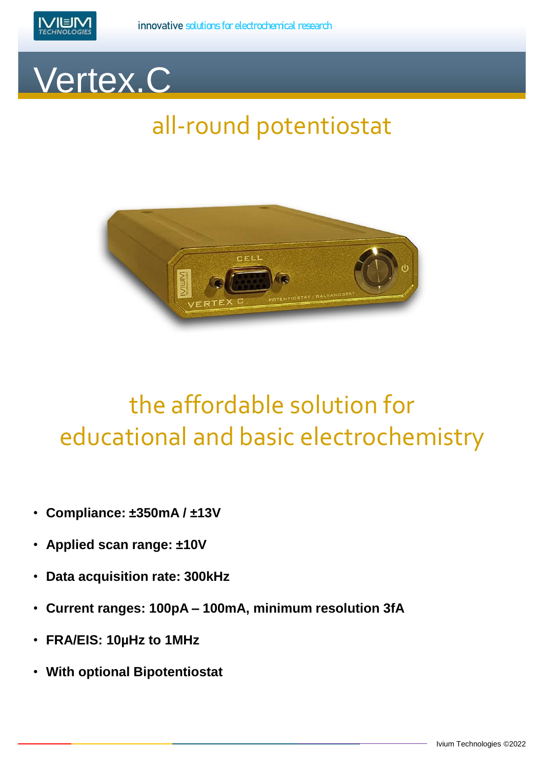

## Vertex.C

## all-round potentiostat



## the affordable solution for educational and basic electrochemistry

- **Compliance: ±350mA / ±13V**
- **Applied scan range: ±10V**
- **Data acquisition rate: 300kHz**
- **Current ranges: 100pA – 100mA, minimum resolution 3fA**
- **FRA/EIS: 10µHz to 1MHz**
- **With optional Bipotentiostat**